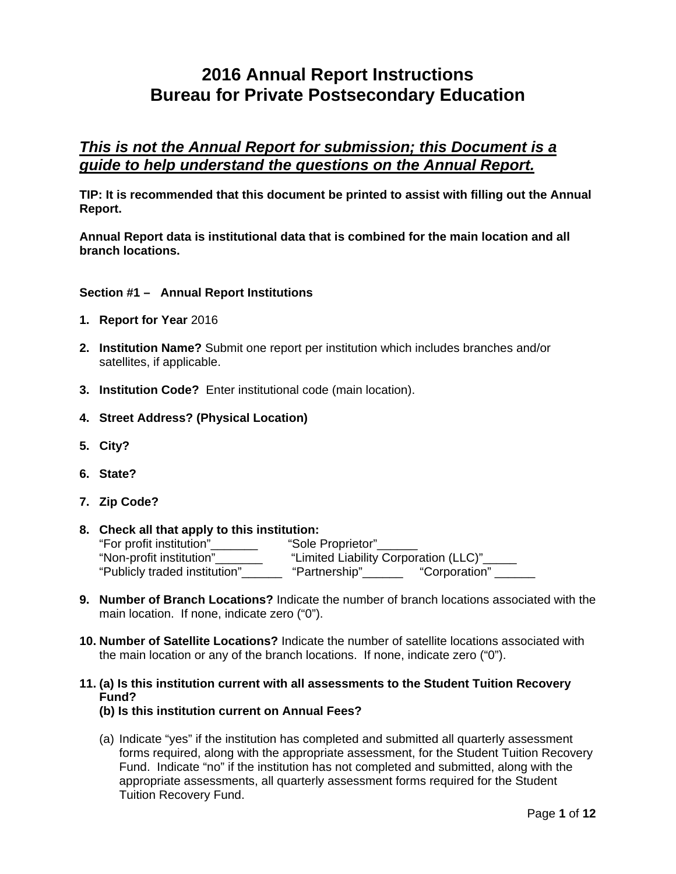# **2016 Annual Report Instructions Bureau for Private Postsecondary Education**

# *This is not the Annual Report for submission; this Document is a guide to help understand the questions on the Annual Report.*

**TIP: It is recommended that this document be printed to assist with filling out the Annual Report.** 

**Annual Report data is institutional data that is combined for the main location and all branch locations.** 

#### **Section #1 – Annual Report Institutions**

- **1. Report for Year** 2016
- **2. Institution Name?** Submit one report per institution which includes branches and/or satellites, if applicable.
- **3. Institution Code?** Enter institutional code (main location).
- **4. Street Address? (Physical Location)**
- **5. City?**
- **6. State?**
- **7. Zip Code?**
- **8. Check all that apply to this institution:**  "For profit institution"\_\_\_\_\_\_\_ "Sole Proprietor"\_\_\_\_\_\_ "Non-profit institution"\_\_\_\_\_\_\_ "Limited Liability Corporation (LLC)"\_\_\_\_\_ "Publicly traded institution"\_\_\_\_\_\_ "Partnership"\_\_\_\_\_\_ "Corporation" \_\_\_\_\_\_
- **9. Number of Branch Locations?** Indicate the number of branch locations associated with the main location. If none, indicate zero ("0").
- **10. Number of Satellite Locations?** Indicate the number of satellite locations associated with the main location or any of the branch locations. If none, indicate zero ("0").
- **11. (a) Is this institution current with all assessments to the Student Tuition Recovery Fund?** 
	- **(b) Is this institution current on Annual Fees?**
	- (a) Indicate "yes" if the institution has completed and submitted all quarterly assessment forms required, along with the appropriate assessment, for the Student Tuition Recovery Fund. Indicate "no" if the institution has not completed and submitted, along with the appropriate assessments, all quarterly assessment forms required for the Student Tuition Recovery Fund.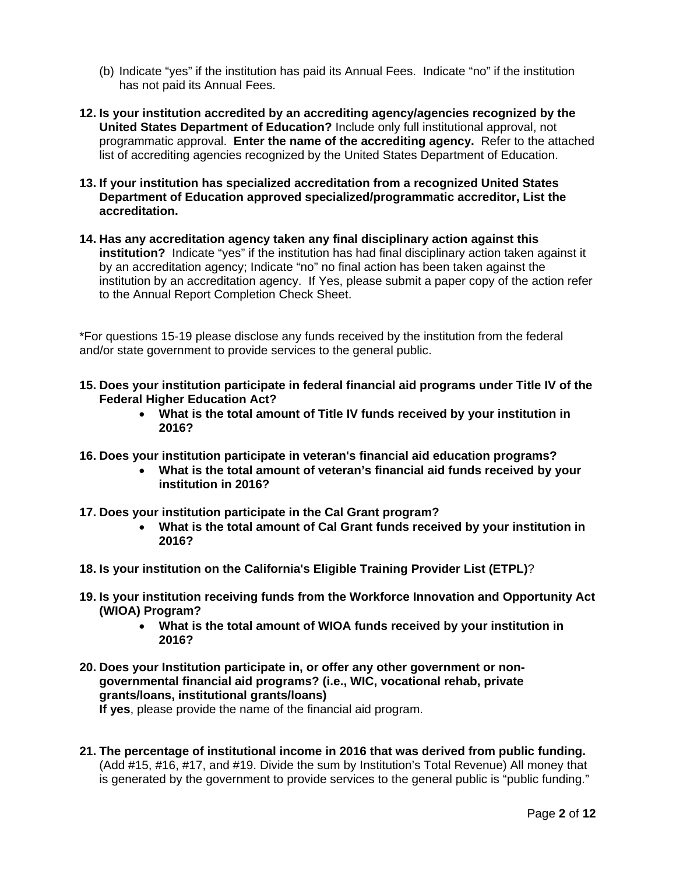- (b) Indicate "yes" if the institution has paid its Annual Fees. Indicate "no" if the institution has not paid its Annual Fees.
- programmatic approval. **Enter the name of the accrediting agency.** Refer to the attached **12. Is your institution accredited by an accrediting agency/agencies recognized by the United States Department of Education?** Include only full institutional approval, not list of accrediting agencies recognized by the United States Department of Education.
- **13. If your institution has specialized accreditation from a recognized United States Department of Education approved specialized/programmatic accreditor, List the accreditation.**
- **14. Has any accreditation agency taken any final disciplinary action against this institution?** Indicate "yes" if the institution has had final disciplinary action taken against it by an accreditation agency; Indicate "no" no final action has been taken against the institution by an accreditation agency. If Yes, please submit a paper copy of the action refer to the Annual Report Completion Check Sheet.

\*For questions 15-19 please disclose any funds received by the institution from the federal and/or state government to provide services to the general public.

- **Federal Higher Education Act? 15. Does your institution participate in federal financial aid programs under Title IV of the** 
	- **What is the total amount of Title IV funds received by your institution in 2016?**
- **16. Does your institution participate in veteran's financial aid education programs?** 
	- **What is the total amount of veteran's financial aid funds received by your institution in 2016?**
- **17. Does your institution participate in the Cal Grant program?** 
	- **What is the total amount of Cal Grant funds received by your institution in 2016?**
- **18. Is your institution on the California's Eligible Training Provider List (ETPL)**?
- **19. Is your institution receiving funds from the Workforce Innovation and Opportunity Act (WIOA) Program?** 
	- **What is the total amount of WIOA funds received by your institution in 2016?**
- **20. Does your Institution participate in, or offer any other government or nongovernmental financial aid programs? (i.e., WIC, vocational rehab, private grants/loans, institutional grants/loans)**

**If yes**, please provide the name of the financial aid program.

**21. The percentage of institutional income in 2016 that was derived from public funding.**  (Add #15, #16, #17, and #19. Divide the sum by Institution's Total Revenue) All money that is generated by the government to provide services to the general public is "public funding."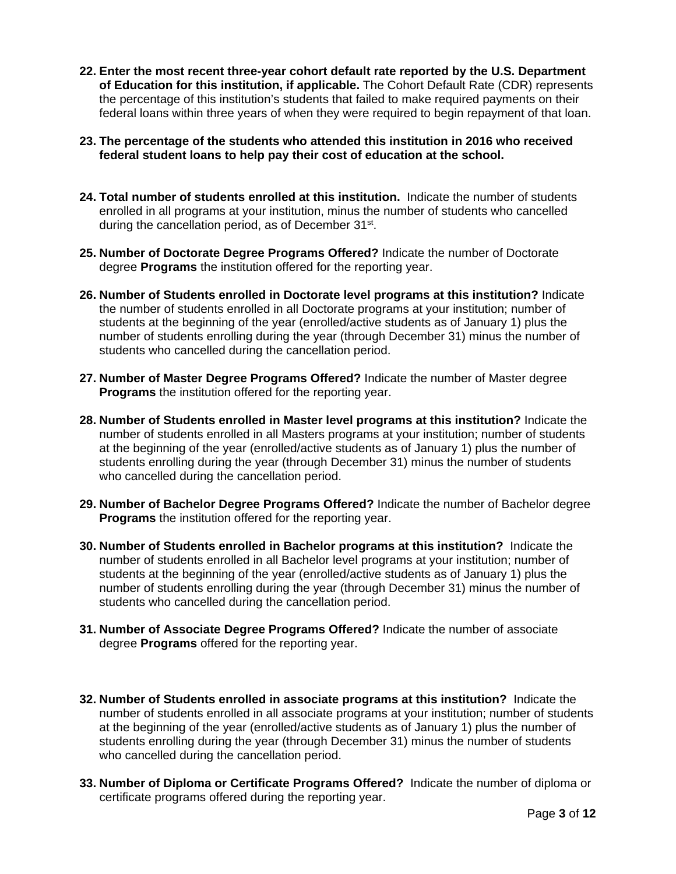- **22. Enter the most recent three-year cohort default rate reported by the U.S. Department of Education for this institution, if applicable.** The Cohort Default Rate (CDR) represents the percentage of this institution's students that failed to make required payments on their federal loans within three years of when they were required to begin repayment of that loan.
- **23. The percentage of the students who attended this institution in 2016 who received federal student loans to help pay their cost of education at the school.**
- **24. Total number of students enrolled at this institution.** Indicate the number of students enrolled in all programs at your institution, minus the number of students who cancelled during the cancellation period, as of December 31<sup>st</sup>.
- **25. Number of Doctorate Degree Programs Offered?** Indicate the number of Doctorate degree **Programs** the institution offered for the reporting year.
- **26. Number of Students enrolled in Doctorate level programs at this institution?** Indicate the number of students enrolled in all Doctorate programs at your institution; number of students at the beginning of the year (enrolled/active students as of January 1) plus the number of students enrolling during the year (through December 31) minus the number of students who cancelled during the cancellation period.
- **27. Number of Master Degree Programs Offered?** Indicate the number of Master degree **Programs** the institution offered for the reporting year.
- **28. Number of Students enrolled in Master level programs at this institution?** Indicate the number of students enrolled in all Masters programs at your institution; number of students at the beginning of the year (enrolled/active students as of January 1) plus the number of students enrolling during the year (through December 31) minus the number of students who cancelled during the cancellation period.
- **29. Number of Bachelor Degree Programs Offered?** Indicate the number of Bachelor degree **Programs** the institution offered for the reporting year.
- **30. Number of Students enrolled in Bachelor programs at this institution?** Indicate the number of students enrolled in all Bachelor level programs at your institution; number of students at the beginning of the year (enrolled/active students as of January 1) plus the number of students enrolling during the year (through December 31) minus the number of students who cancelled during the cancellation period.
- **31. Number of Associate Degree Programs Offered?** Indicate the number of associate degree **Programs** offered for the reporting year.
- **32. Number of Students enrolled in associate programs at this institution?** Indicate the number of students enrolled in all associate programs at your institution; number of students at the beginning of the year (enrolled/active students as of January 1) plus the number of students enrolling during the year (through December 31) minus the number of students who cancelled during the cancellation period.
- **33. Number of Diploma or Certificate Programs Offered?** Indicate the number of diploma or certificate programs offered during the reporting year.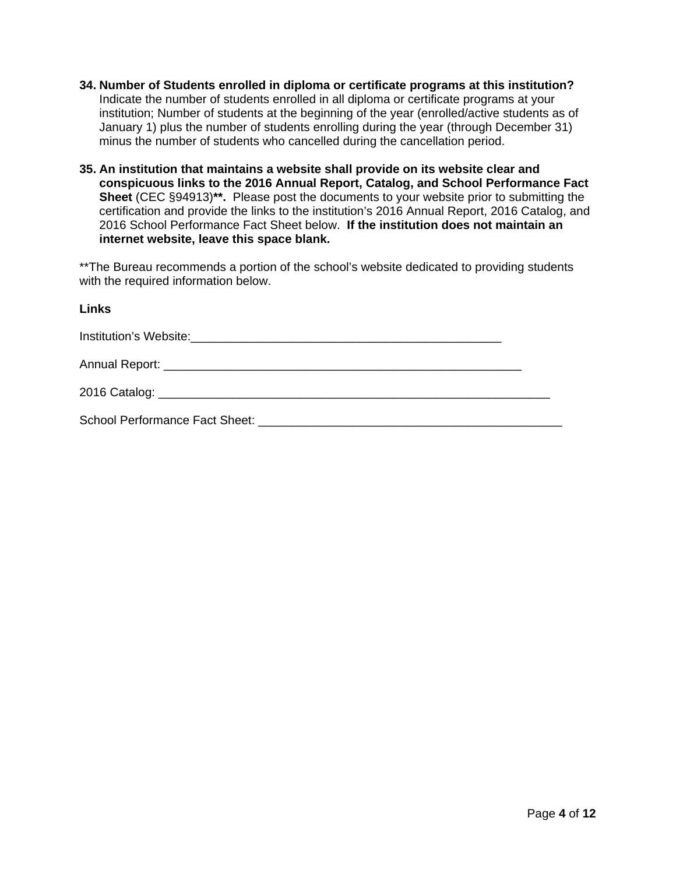- **34. Number of Students enrolled in diploma or certificate programs at this institution?**  Indicate the number of students enrolled in all diploma or certificate programs at your institution; Number of students at the beginning of the year (enrolled/active students as of January 1) plus the number of students enrolling during the year (through December 31) minus the number of students who cancelled during the cancellation period.
- **35. An institution that maintains a website shall provide on its website clear and conspicuous links to the 2016 Annual Report, Catalog, and School Performance Fact Sheet** (CEC §94913)**\*\*.** Please post the documents to your website prior to submitting the certification and provide the links to the institution's 2016 Annual Report, 2016 Catalog, and 2016 School Performance Fact Sheet below. **If the institution does not maintain an internet website, leave this space blank.**

 with the required information below. \*\*The Bureau recommends a portion of the school's website dedicated to providing students

### **Links**

Institution's Website:  $\blacksquare$ 

Annual Report: \_\_\_\_\_\_\_\_\_\_\_\_\_\_\_\_\_\_\_\_\_\_\_\_\_\_\_\_\_\_\_\_\_\_\_\_\_\_\_\_\_\_\_\_\_\_\_\_\_\_\_\_\_

 $2016$  Catalog:  $\blacksquare$ 

School Performance Fact Sheet: **Example 2018**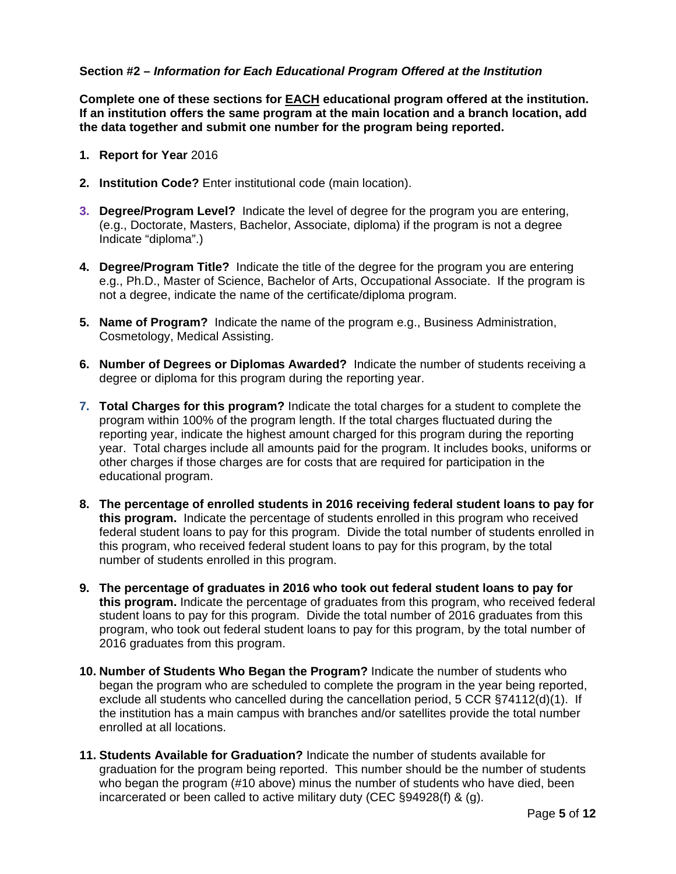#### **Section #2 –** *Information for Each Educational Program Offered at the Institution*

**Complete one of these sections for EACH educational program offered at the institution. If an institution offers the same program at the main location and a branch location, add the data together and submit one number for the program being reported.** 

- **1. Report for Year** 2016
- **2. Institution Code?** Enter institutional code (main location).
- **3. Degree/Program Level?** Indicate the level of degree for the program you are entering, (e.g., Doctorate, Masters, Bachelor, Associate, diploma) if the program is not a degree Indicate "diploma".)
- **4. Degree/Program Title?** Indicate the title of the degree for the program you are entering e.g., Ph.D., Master of Science, Bachelor of Arts, Occupational Associate. If the program is not a degree, indicate the name of the certificate/diploma program.
- **5. Name of Program?** Indicate the name of the program e.g., Business Administration, Cosmetology, Medical Assisting.
- **6. Number of Degrees or Diplomas Awarded?** Indicate the number of students receiving a degree or diploma for this program during the reporting year.
- **7. Total Charges for this program?** Indicate the total charges for a student to complete the program within 100% of the program length. If the total charges fluctuated during the reporting year, indicate the highest amount charged for this program during the reporting year. Total charges include all amounts paid for the program. It includes books, uniforms or other charges if those charges are for costs that are required for participation in the educational program.
- **8. The percentage of enrolled students in 2016 receiving federal student loans to pay for this program.** Indicate the percentage of students enrolled in this program who received federal student loans to pay for this program. Divide the total number of students enrolled in this program, who received federal student loans to pay for this program, by the total number of students enrolled in this program.
- **9. The percentage of graduates in 2016 who took out federal student loans to pay for this program.** Indicate the percentage of graduates from this program, who received federal student loans to pay for this program. Divide the total number of 2016 graduates from this program, who took out federal student loans to pay for this program, by the total number of 2016 graduates from this program.
- **10. Number of Students Who Began the Program?** Indicate the number of students who began the program who are scheduled to complete the program in the year being reported, exclude all students who cancelled during the cancellation period, 5 CCR §74112(d)(1). If the institution has a main campus with branches and/or satellites provide the total number enrolled at all locations.
- **11. Students Available for Graduation?** Indicate the number of students available for graduation for the program being reported. This number should be the number of students who began the program (#10 above) minus the number of students who have died, been incarcerated or been called to active military duty (CEC §94928(f) & (g).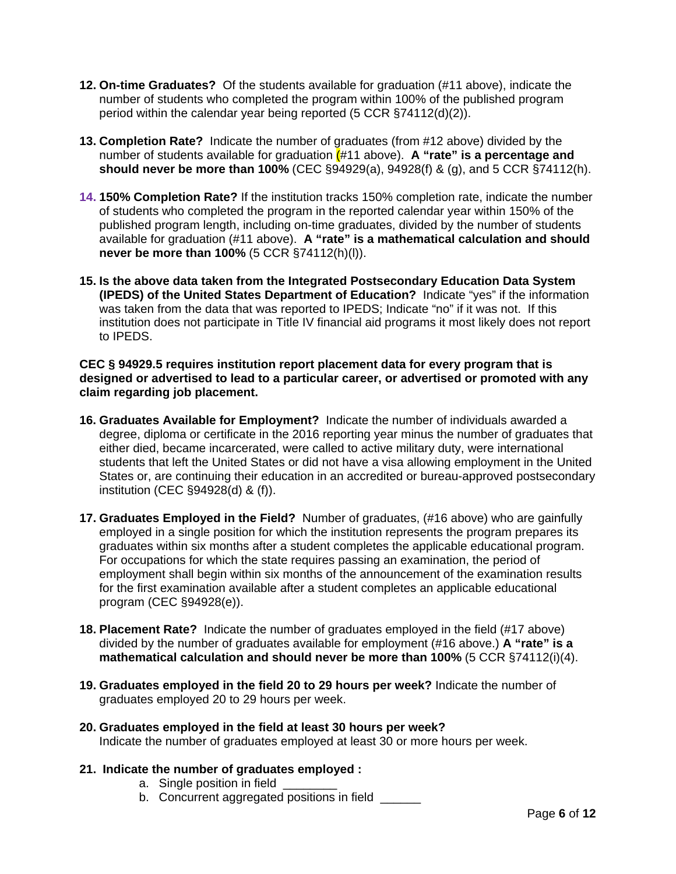- **12. On-time Graduates?** Of the students available for graduation (#11 above), indicate the number of students who completed the program within 100% of the published program period within the calendar year being reported (5 CCR §74112(d)(2)).
- **13. Completion Rate?** Indicate the number of graduates (from #12 above) divided by the number of students available for graduation (#11 above). **A "rate" is a percentage and should never be more than 100%** (CEC §94929(a), 94928(f) & (g), and 5 CCR §74112(h).
- **14. 150% Completion Rate?** If the institution tracks 150% completion rate, indicate the number of students who completed the program in the reported calendar year within 150% of the published program length, including on-time graduates, divided by the number of students available for graduation (#11 above). **A "rate" is a mathematical calculation and should never be more than 100%** (5 CCR §74112(h)(l)).
- **15. Is the above data taken from the Integrated Postsecondary Education Data System (IPEDS) of the United States Department of Education?** Indicate "yes" if the information was taken from the data that was reported to IPEDS; Indicate "no" if it was not. If this institution does not participate in Title IV financial aid programs it most likely does not report to IPEDS.

**CEC § 94929.5 requires institution report placement data for every program that is designed or advertised to lead to a particular career, or advertised or promoted with any claim regarding job placement.** 

- **16. Graduates Available for Employment?** Indicate the number of individuals awarded a degree, diploma or certificate in the 2016 reporting year minus the number of graduates that either died, became incarcerated, were called to active military duty, were international students that left the United States or did not have a visa allowing employment in the United States or, are continuing their education in an accredited or bureau-approved postsecondary institution (CEC §94928(d) & (f)).
- **17. Graduates Employed in the Field?** Number of graduates, (#16 above) who are gainfully employed in a single position for which the institution represents the program prepares its graduates within six months after a student completes the applicable educational program. For occupations for which the state requires passing an examination, the period of employment shall begin within six months of the announcement of the examination results for the first examination available after a student completes an applicable educational program (CEC §94928(e)).
- **18. Placement Rate?** Indicate the number of graduates employed in the field (#17 above) divided by the number of graduates available for employment (#16 above.) **A "rate" is a mathematical calculation and should never be more than 100%** (5 CCR §74112(i)(4).
- **19. Graduates employed in the field 20 to 29 hours per week?** Indicate the number of graduates employed 20 to 29 hours per week.
- **20. Graduates employed in the field at least 30 hours per week?** Indicate the number of graduates employed at least 30 or more hours per week.
- **21. Indicate the number of graduates employed :** 
	- a. Single position in field
	- b. Concurrent aggregated positions in field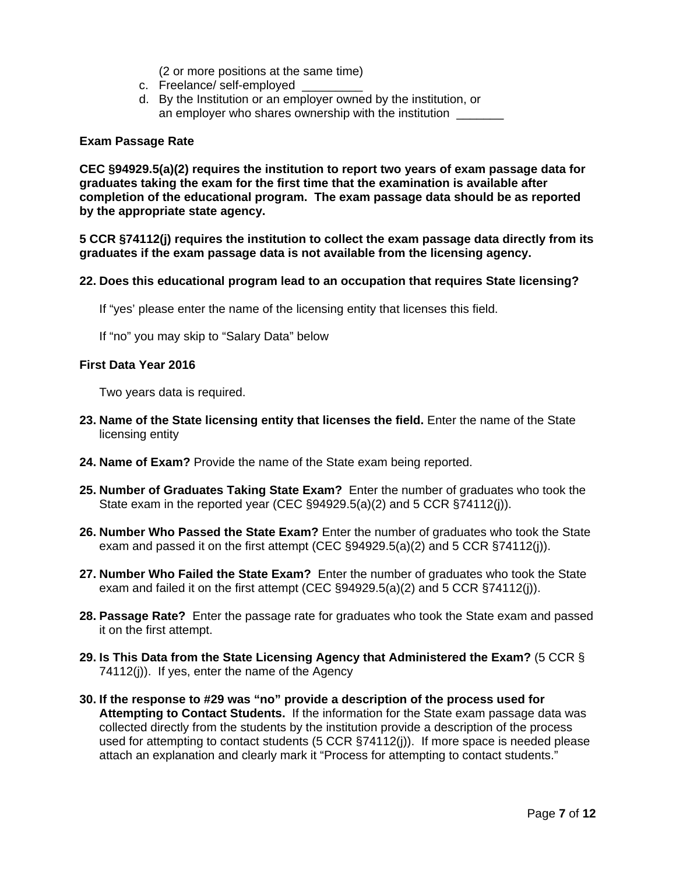(2 or more positions at the same time)

- c. Freelance/ self-employed
- d. By the Institution or an employer owned by the institution, or an employer who shares ownership with the institution

#### **Exam Passage Rate**

by the appropriate state agency. **CEC §94929.5(a)(2) requires the institution to report two years of exam passage data for graduates taking the exam for the first time that the examination is available after completion of the educational program. The exam passage data should be as reported** 

**5 CCR §74112(j) requires the institution to collect the exam passage data directly from its graduates if the exam passage data is not available from the licensing agency.** 

#### **22. Does this educational program lead to an occupation that requires State licensing?**

If "yes' please enter the name of the licensing entity that licenses this field.

If "no" you may skip to "Salary Data" below

#### **First Data Year 2016**

Two years data is required.

- **23. Name of the State licensing entity that licenses the field.** Enter the name of the State licensing entity
- **24. Name of Exam?** Provide the name of the State exam being reported.
- **25. Number of Graduates Taking State Exam?** Enter the number of graduates who took the State exam in the reported year (CEC §94929.5(a)(2) and 5 CCR §74112(j)).
- **26. Number Who Passed the State Exam?** Enter the number of graduates who took the State exam and passed it on the first attempt (CEC §94929.5(a)(2) and 5 CCR §74112(j)).
- **27. Number Who Failed the State Exam?** Enter the number of graduates who took the State exam and failed it on the first attempt (CEC  $\S 94929.5(a)(2)$  and 5 CCR  $\S 74112(i)$ ).
- **28. Passage Rate?** Enter the passage rate for graduates who took the State exam and passed it on the first attempt.
- **29. Is This Data from the State Licensing Agency that Administered the Exam?** (5 CCR § 74112(j)). If yes, enter the name of the Agency
- **30. If the response to #29 was "no" provide a description of the process used for Attempting to Contact Students.** If the information for the State exam passage data was collected directly from the students by the institution provide a description of the process used for attempting to contact students (5 CCR §74112(j)). If more space is needed please attach an explanation and clearly mark it "Process for attempting to contact students."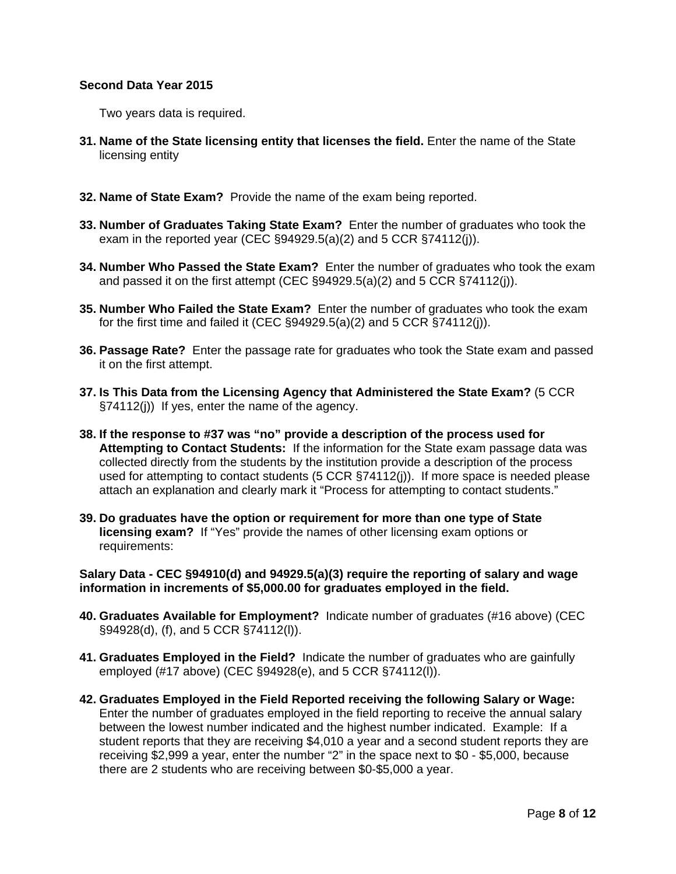#### **Second Data Year 2015**

Two years data is required.

- **31. Name of the State licensing entity that licenses the field.** Enter the name of the State licensing entity
- **32. Name of State Exam?** Provide the name of the exam being reported.
- **33. Number of Graduates Taking State Exam?** Enter the number of graduates who took the exam in the reported year (CEC §94929.5(a)(2) and 5 CCR §74112(j)).
- **34. Number Who Passed the State Exam?** Enter the number of graduates who took the exam and passed it on the first attempt (CEC §94929.5(a)(2) and 5 CCR §74112(j)).
- **35. Number Who Failed the State Exam?** Enter the number of graduates who took the exam for the first time and failed it (CEC  $\S 94929.5(a)(2)$  and 5 CCR  $\S 74112(i)$ ).
- **36. Passage Rate?** Enter the passage rate for graduates who took the State exam and passed it on the first attempt.
- **37. Is This Data from the Licensing Agency that Administered the State Exam?** (5 CCR §74112(j)) If yes, enter the name of the agency.
- **38. If the response to #37 was "no" provide a description of the process used for Attempting to Contact Students:** If the information for the State exam passage data was collected directly from the students by the institution provide a description of the process used for attempting to contact students (5 CCR §74112(j)). If more space is needed please attach an explanation and clearly mark it "Process for attempting to contact students."
- **39. Do graduates have the option or requirement for more than one type of State licensing exam?** If "Yes" provide the names of other licensing exam options or requirements:

**Salary Data - CEC §94910(d) and 94929.5(a)(3) require the reporting of salary and wage information in increments of \$5,000.00 for graduates employed in the field.** 

- **40. Graduates Available for Employment?** Indicate number of graduates (#16 above) (CEC §94928(d), (f), and 5 CCR §74112(l)).
- **41. Graduates Employed in the Field?** Indicate the number of graduates who are gainfully employed (#17 above) (CEC §94928(e), and 5 CCR §74112(l)).
- **42. Graduates Employed in the Field Reported receiving the following Salary or Wage:**  Enter the number of graduates employed in the field reporting to receive the annual salary between the lowest number indicated and the highest number indicated. Example: If a student reports that they are receiving \$4,010 a year and a second student reports they are receiving \$2,999 a year, enter the number "2" in the space next to \$0 - \$5,000, because there are 2 students who are receiving between \$0-\$5,000 a year.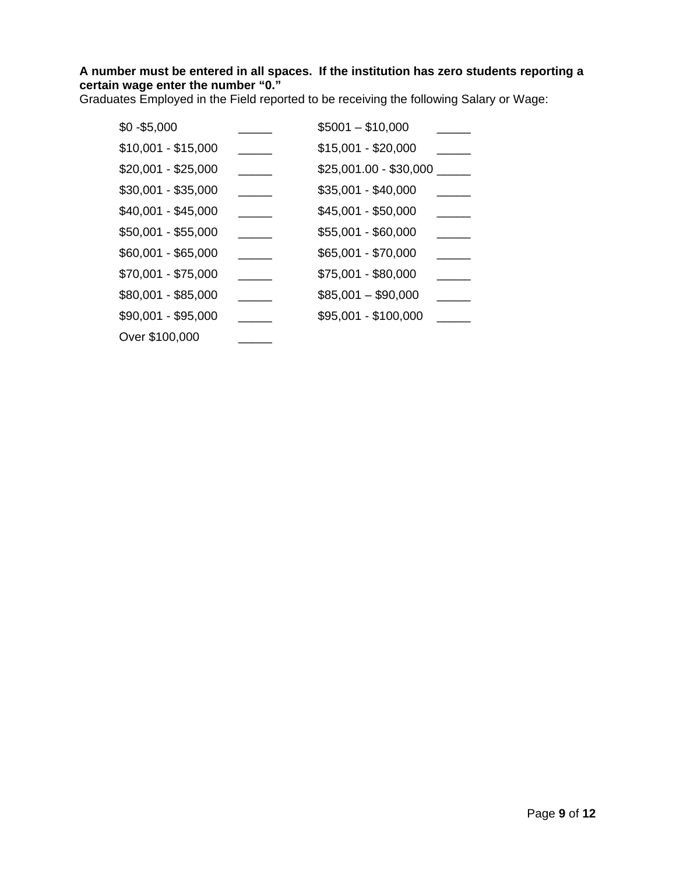## **A number must be entered in all spaces. If the institution has zero students reporting a certain wage enter the number "0."**

Graduates Employed in the Field reported to be receiving the following Salary or Wage:

| $$0 - $5,000$       | $$5001 - $10,000$      |  |
|---------------------|------------------------|--|
| $$10,001 - $15,000$ | \$15,001 - \$20,000    |  |
| \$20,001 - \$25,000 | \$25,001.00 - \$30,000 |  |
| $$30,001 - $35,000$ | \$35,001 - \$40,000    |  |
| $$40,001 - $45,000$ | \$45,001 - \$50,000    |  |
| \$50,001 - \$55,000 | $$55,001 - $60,000$    |  |
| \$60,001 - \$65,000 | \$65,001 - \$70,000    |  |
| \$70,001 - \$75,000 | \$75,001 - \$80,000    |  |
| \$80,001 - \$85,000 | $$85,001 - $90,000$    |  |
| $$90,001 - $95,000$ | \$95,001 - \$100,000   |  |
| Over \$100,000      |                        |  |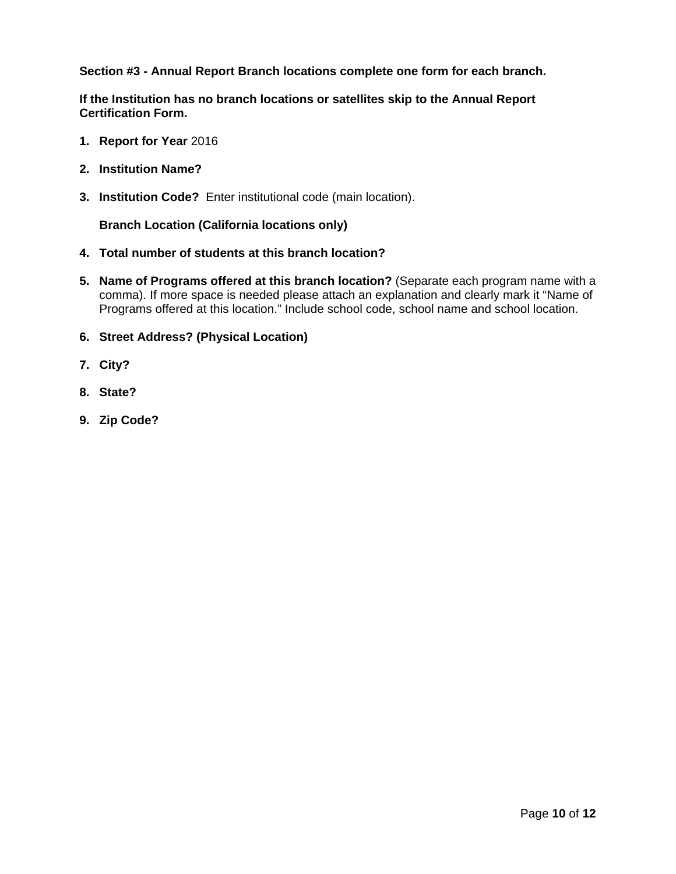**Section #3 - Annual Report Branch locations complete one form for each branch.** 

**Certification Form. If the Institution has no branch locations or satellites skip to the Annual Report** 

- **1. Report for Year 2016**
- **2. Institution Name?**
- **3. Institution Code?** Enter institutional code (main location).

**Branch Location (California locations only)** 

- **4. Total number of students at this branch location?**
- **5. Name of Programs offered at this branch location?** (Separate each program name with a comma). If more space is needed please attach an explanation and clearly mark it "Name of Programs offered at this location." Include school code, school name and school location.
- **6. Street Address? (Physical Location)**
- **7. City?**
- **8. State?**
- **9. Zip Code?**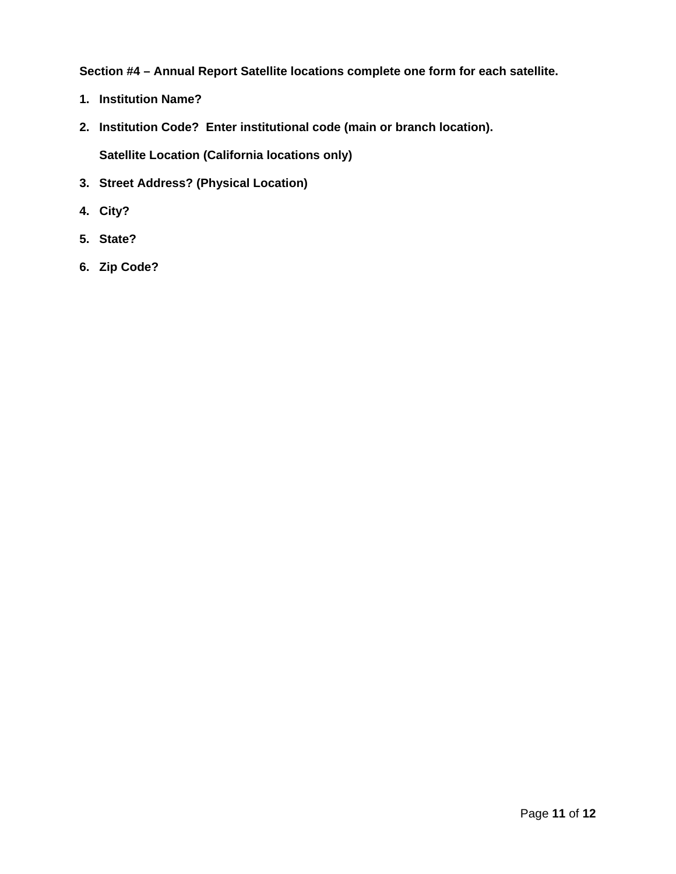**Section #4 – Annual Report Satellite locations complete one form for each satellite.** 

- **1. Institution Name?**
- **2. Institution Code? Enter institutional code (main or branch location).**

**Satellite Location (California locations only)** 

- **3. Street Address? (Physical Location)**
- **4. City?**
- **5. State?**
- **6. Zip Code?**